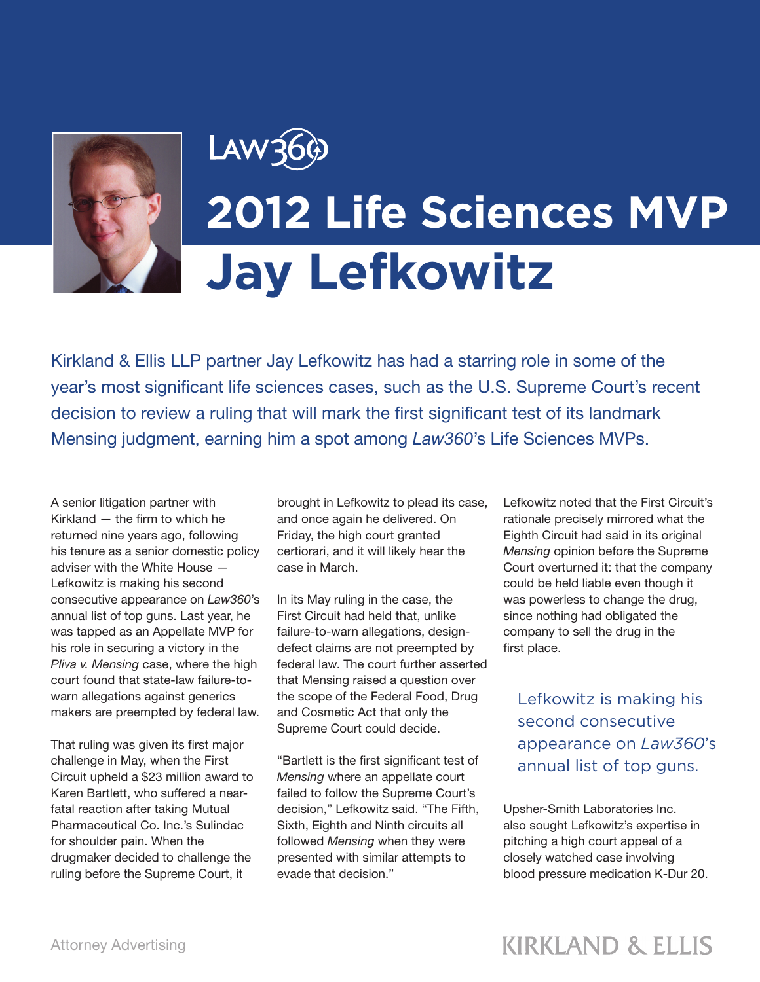

## LAW36 **2012 Life Sciences MVP Jay Lefkowitz**

Kirkland & Ellis LLP partner Jay Lefkowitz has had a starring role in some of the year's most significant life sciences cases, such as the U.S. Supreme Court's recent decision to review a ruling that will mark the first significant test of its landmark Mensing judgment, earning him a spot among *Law360*'s Life Sciences MVPs.

A senior litigation partner with Kirkland — the firm to which he returned nine years ago, following his tenure as a senior domestic policy adviser with the White House — Lefkowitz is making his second consecutive appearance on *Law360*'s annual list of top guns. Last year, he was tapped as an Appellate MVP for his role in securing a victory in the *Pliva v. Mensing* case, where the high court found that state-law failure-towarn allegations against generics makers are preempted by federal law.

That ruling was given its first major challenge in May, when the First Circuit upheld a \$23 million award to Karen Bartlett, who suffered a nearfatal reaction after taking Mutual Pharmaceutical Co. Inc.'s Sulindac for shoulder pain. When the drugmaker decided to challenge the ruling before the Supreme Court, it

brought in Lefkowitz to plead its case, and once again he delivered. On Friday, the high court granted certiorari, and it will likely hear the case in March.

In its May ruling in the case, the First Circuit had held that, unlike failure-to-warn allegations, designdefect claims are not preempted by federal law. The court further asserted that Mensing raised a question over the scope of the Federal Food, Drug and Cosmetic Act that only the Supreme Court could decide.

"Bartlett is the first significant test of *Mensing* where an appellate court failed to follow the Supreme Court's decision," Lefkowitz said. "The Fifth, Sixth, Eighth and Ninth circuits all followed *Mensing* when they were presented with similar attempts to evade that decision."

Lefkowitz noted that the First Circuit's rationale precisely mirrored what the Eighth Circuit had said in its original *Mensing* opinion before the Supreme Court overturned it: that the company could be held liable even though it was powerless to change the drug, since nothing had obligated the company to sell the drug in the first place.

Lefkowitz is making his second consecutive appearance on *Law360*'s annual list of top guns.

Upsher-Smith Laboratories Inc. also sought Lefkowitz's expertise in pitching a high court appeal of a closely watched case involving blood pressure medication K-Dur 20.

## **KIRKLAND & ELLIS**